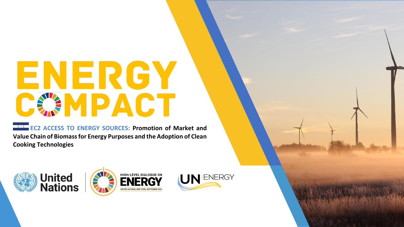# ENERGY **CANPACT**

**EC2 ACCESS TO ENERGY SOURCES: Promotion of Market and Value Chain of Biomass for Energy Purposes and the Adoption of Clean Cooking Technologies**

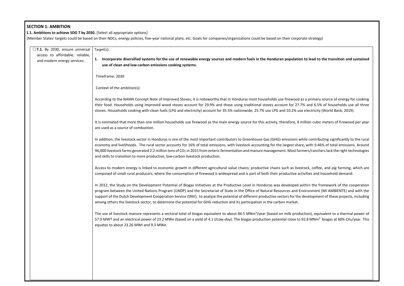# **SECTION 1: AMBITION**

 **1.1. Ambitions to achieve SDG 7 by 2030.** [Select all appropriate options]

(Member States' targets could be based on their NDCs, energy policies, five-year national plans, etc. Goals for companies/organizations could be based on their corporate strategy)

| $\square$ 7.1. By 2030, ensure universal<br>access to affordable, reliable, | Target(s):                                                                                                                                                                                                                                                                                                                                                                                                                                                                                                                                         |
|-----------------------------------------------------------------------------|----------------------------------------------------------------------------------------------------------------------------------------------------------------------------------------------------------------------------------------------------------------------------------------------------------------------------------------------------------------------------------------------------------------------------------------------------------------------------------------------------------------------------------------------------|
| and modern energy services.                                                 | Incorporate diversified systems for the use of renewable energy sources and modern fuels in the Honduran population to lead to<br>use of clean and low-carbon emissions cooking systems.                                                                                                                                                                                                                                                                                                                                                           |
|                                                                             | Timeframe: 2030                                                                                                                                                                                                                                                                                                                                                                                                                                                                                                                                    |
|                                                                             | Context of the ambition(s):                                                                                                                                                                                                                                                                                                                                                                                                                                                                                                                        |
|                                                                             | According to the NAMA Concept Note of Improved Stoves, it is noteworthy that in Honduras most households use firewood as a primary<br>their food. Households using improved wood stoves account for 29.9% and those using traditional stoves account for 27.7% and 6.59<br>stones. Households cooking with clean fuels (LPG and electricity) account for 35.5% nationwide; 25.7% use LPG and 10.2% use electricity                                                                                                                                 |
|                                                                             | It is estimated that more than one million households use firewood as the main energy source for this activity, therefore, 8 million cubio<br>are used as a source of combustion.                                                                                                                                                                                                                                                                                                                                                                  |
|                                                                             | In addition, the livestock sector in Honduras is one of the most important contributors to Greenhouse Gas (GHG) emissions while contrib<br>economy and livelihoods. The rural sector accounts for 16% of total emissions, with livestock accounting for the largest share, with 9.4<br>96,000 livestock farms generated 2.2 million tons of CO <sub>2</sub> in 2015 from enteric fermentation and manure management. Most farmers/ranch<br>and skills to transition to more productive, low-carbon livestock production.                           |
|                                                                             | Access to modern energy is linked to economic growth in different agricultural value chains; productive chains such as livestock, coffe<br>composed of small rural producers, where the consumption of firewood is widespread and is part of both their productive activities and                                                                                                                                                                                                                                                                  |
|                                                                             | In 2012, the Study on the Development Potential of Biogas Initiatives at the Productive Level in Honduras was developed within the f<br>program between the United Nations Program (UNDP) and the Secretariat of State in the Office of Natural Resources and Environment<br>support of the Dutch Development Cooperation Service (SNV), to analyze the potential of different productive sectors for the developme<br>among others the livestock sector, to determine the potential for GHG reduction and its participation in the carbon market. |
|                                                                             | The use of livestock manure represents a sectoral total of biogas equivalent to about 84.5 MNm <sup>3</sup> /year (based on milk production), equ<br>57.9 MWT and an electrical power of 23.2 MWe (based on a yield of 4.1 I/cow-day). The biogas production potential close to 92.8 MNm <sup>3</sup><br>equates to about 23.26 MWt and 9.3 MWe.                                                                                                                                                                                                   |
|                                                                             |                                                                                                                                                                                                                                                                                                                                                                                                                                                                                                                                                    |
|                                                                             |                                                                                                                                                                                                                                                                                                                                                                                                                                                                                                                                                    |
|                                                                             |                                                                                                                                                                                                                                                                                                                                                                                                                                                                                                                                                    |
|                                                                             |                                                                                                                                                                                                                                                                                                                                                                                                                                                                                                                                                    |

**to lead to the transition and sustained** 

a primary source of energy for cooking is a primary source of energy for cooking and 6.5% of households use all three electricity (World Bank, 2019).

Ilion cubic meters of firewood per year

Ie contributing significantly to the rural with 9.46% of total emissions. Around ers/ranchers lack the right technologies

ock, coffee, and pig farming, which are vities and household demand.

thin the framework of the cooperation ironment (MI AMBIENTE) and with the evelopment of these projects, including

tion), equivalent to a thermal power of  $2.8$  MNm<sup>3</sup> biogas at 60% CH<sub>4</sub>/year. This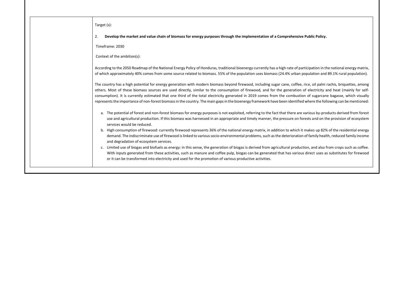| Target (s):                                                                                                                                                                                                                                                                                                                                                                                                                                                                                                                                                                        |
|------------------------------------------------------------------------------------------------------------------------------------------------------------------------------------------------------------------------------------------------------------------------------------------------------------------------------------------------------------------------------------------------------------------------------------------------------------------------------------------------------------------------------------------------------------------------------------|
| Develop the market and value chain of biomass for energy purposes through the implementation of a Comprehensive Public Policy.<br>2.                                                                                                                                                                                                                                                                                                                                                                                                                                               |
| Timeframe: 2030                                                                                                                                                                                                                                                                                                                                                                                                                                                                                                                                                                    |
| Context of the ambition(s):                                                                                                                                                                                                                                                                                                                                                                                                                                                                                                                                                        |
| According to the 2050 Roadmap of the National Energy Policy of Honduras, traditional bioenergy currently has a high rate of participation in th<br>of which approximately 40% comes from some source related to biomass. 55% of the population uses biomass (24.4% urban population and                                                                                                                                                                                                                                                                                            |
| The country has a high potential for energy generation with modern biomass beyond firewood, including sugar cane, coffee, rice, oil palm r<br>others. Most of these biomass sources are used directly, similar to the consumption of firewood, and for the generation of electricity a<br>consumption). It is currently estimated that one third of the total electricity generated in 2019 comes from the combustion of sugarcane<br>represents the importance of non-forest biomass in the country. The main gaps in the bioenergy framework have been identified where the foll |
| a. The potential of forest and non-forest biomass for energy purposes is not exploited, referring to the fact that there are various by-proor<br>use and agricultural production. If this biomass was harnessed in an appropriate and timely manner, the pressure on forests and on th<br>services would be reduced.                                                                                                                                                                                                                                                               |
| b. High consumption of firewood: currently firewood represents 36% of the national energy matrix, in addition to which it makes up 82%<br>demand. The indiscriminate use of firewood is linked to various socio-environmental problems, such as the deterioration of family healt<br>and degradation of ecosystem services.                                                                                                                                                                                                                                                        |
| c. Limited use of biogas and biofuels as energy: in this sense, the generation of biogas is derived from agricultural production, and also fi<br>With inputs generated from these activities, such as manure and coffee pulp, biogas can be generated that has various direct uses as<br>or it can be transformed into electricity and used for the promotion of various productive activities.                                                                                                                                                                                    |

articipation in the national energy matrix, **the Anation** oopulation and 89.1% rural population).

rice, oil palm rachis, briquettes, among of electricity and heat (mainly for selfon of sugarcane bagasse, which visually I where the following can be mentioned:

various by-products derived from forest rests and on the provision of ecosystem

t makes up 82% of the residential energy n of family health, reduced family incomental problems, such as the determination of family health, reduced fa

tion, and also from crops such as coffee. s direct uses as substitutes for firewood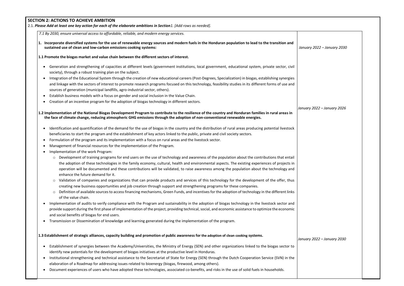# **SECTION 2: ACTIONS TO ACHIEVE AMBITION**

2.1. *Please Add at least one key action for each of the elaborate ambitions in Section1. [Add rows as needed].*

*7.1 By 2030, ensure universal access to affordable, reliable, and modern energy services.*

**1.1 Promote the biogas market and value chain between the different sectors of interest.**

- Generation and strengthening of capacities at different levels (government institutions, local government, educational system, private sector, civil society), through a robust training plan on the subject.
- Integration of the Educational System through the creation of new educational careers (Post-Degrees, Specialization) in biogas, establishing synergies and linkage with the sectors of interest to promote research programs focused on this technology, feasibility studies in its different forms of use and sources of generation (municipal landfills, agro-industrial sector, others).
- Establish business models with a focus on gender and social inclusion in the Value Chain.
- Creation of an incentive program for the adoption of biogas technology in different sectors.

## **1.2 Implementation of the National Biogas Development Program to contribute to the resilience of the country and Honduran families in rural areas in the face of climate change, reducing atmospheric GHG emissions through the adoption of non-conventional renewable energies.**

**1. Incorporate diversified systems for the use of renewable energy sources and modern fuels in the Honduran population to lead to the transition and sustained use of clean and low-carbon emissions cooking systems:** 

- Identification and quantification of the demand for the use of biogas in the country and the distribution of rural areas producing potential livestock beneficiaries to start the program and the establishment of key actors linked to the public, private and civil society sectors.
- Formulation of the program and its implementation with a focus on rural areas and the livestock sector.
- Management of financial resources for the implementation of the Program.
- Implementation of the work Program:
	- o Development of training programs for end users on the use of technology and awareness of the population about the contributions that entail the adoption of these technologies in the family economy, cultural, health and environmental aspects. The existing experiences of projects in operation will be documented and these contributions will be validated, to raise awareness among the population about the technology and enhance the future demand for it.
	- $\circ$  Validation of companies and organizations that can provide products and services of this technology for the development of the offer, thus creating new business opportunities and job creation through support and strengthening programs for these companies.
	- o Definition of available sources to access financing mechanisms, Green Funds, and incentives for the adoption of technology in the different links of the value chain.
- Implementation of audits to verify compliance with the Program and sustainability in the adoption of biogas technology in the livestock sector and provide support during the first phase of implementation of the project, providing technical, social, and economic assistance to optimize the economic and social benefits of biogas for end users.
- Transmission or Dissemination of knowledge and learning generated during the implementation of the program.

### **1.3 Establishment of strategic alliances, capacity building and promotion of public awareness for the adoption of clean cooking systems.**

 $\overline{\phantom{a}}$ 

- Establishment of synergies between the Academy/Universities, the Ministry of Energy (SEN) and other organizations linked to the biogas sector to identify new potentials for the development of biogas initiatives at the productive level in Honduras.
- Institutional strengthening and technical assistance to the Secretariat of State for Energy (SEN) through the Dutch Cooperation Service (SVN) in the elaboration of a Roadmap for addressing issues related to bioenergy (biogas, firewood, among others).
- Document experiences of users who have adopted these technologies, associated co-benefits, and risks in the use of solid fuels in households.

# *January 2022 – January 2030*

*January 2022 – January 2026*

*January 2022 – January 2030*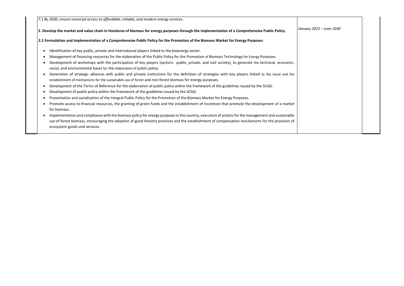*7.1 By 2030, ensure universal access to affordable, reliable, and modern energy services.*

### **2. Develop the market and value chain in Honduras of biomass for energy purposes through the implementation of a Comprehensive Public Policy.**

### **2.1 Formulation and implementation of a Comprehensive Public Policy for the Promotion of the Biomass Market for Energy Purposes**

- Identification of key public, private and international players linked to the bioenergy sector.
- Management of financing resources for the elaboration of the Public Policy for the Promotion of Biomass Technology for Energy Purposes.
- Development of workshops with the participation of key players (sectors: public, private, and civil society), to generate the technical, economic, social, and environmental bases for the elaboration of public policy.
- Generation of strategic alliances with public and private institutions for the definition of strategies with key players linked to the issue and the establishment of mechanisms for the sustainable use of forest and non-forest biomass for energy purposes.
- Development of the Terms of Reference for the elaboration of public policy within the framework of the guidelines issued by the SCGG.
- Development of public policy within the framework of the guidelines issued by the SCGG.
- Presentation and socialization of the Integral Public Policy for the Promotion of the Biomass Market for Energy Purposes.
- Promote access to financial resources, the granting of green funds and the establishment of incentives that promote the development of a market for biomass.
- Implementation and compliance with the biomass policy for energy purposes in the country, execution of actions for the management and sustainable use of forest biomass, encouraging the adoption of good forestry practices and the establishment of compensation mechanisms for the provision of ecosystem goods and services.

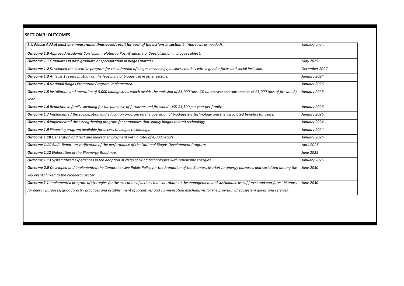# **SECTION 3: OUTCOMES**

| 3.1. Please Add at least one measurable, time-based result for each of the actions in section 2. [Add rows as needed].                                                                 |                   |
|----------------------------------------------------------------------------------------------------------------------------------------------------------------------------------------|-------------------|
|                                                                                                                                                                                        | January 2025      |
| <b>Outcome 1.0</b> Approved Academic Curriculum related to Post-Graduate or Specialization in biogas subject.                                                                          |                   |
| <b>Outcome 1.1</b> Graduates in post-graduate or specialization in biogas matters.                                                                                                     | May 2025          |
| Outcome 1.2 Developed the incentive program for the adoption of biogas technology, business models with a gender focus and social inclusion.                                           | December 2027     |
| <b>Outcome 1.3</b> At least 1 research study on the feasibility of biogas use in other sectors.                                                                                        | January 2024      |
| <b>Outcome 1.4 National Biogas Promotion Program implemented.</b>                                                                                                                      | January 2026      |
| <b>Outcome 1.5</b> Installation and operation of 8,000 biodigesters, which avoids the emission of 85,000 tons. CO <sub>2-eq</sub> per year and consumption of 25,000 tons of firewood, | January 2026      |
| year.                                                                                                                                                                                  |                   |
| Outcome 1.6 Reduction in family spending for the purchase of fertilizers and firewood: USD \$1,500 per year per family.                                                                | January 2026      |
| Outcome 1.7 Implemented the socialization and education program on the operation of biodigesters technology and the associated benefits for users.                                     | January 2026      |
| Outcome 1.8 Implemented the strengthening program for companies that supply biogas-related technology.                                                                                 | January 2024      |
| <b>Outcome 1.9</b> Financing program available for access to biogas technology.                                                                                                        | January 2024      |
| Outcome 1.10 Generation of direct and indirect employment with a total of 4,000 people.                                                                                                | January 2026      |
| <b>Outcome 1.11</b> Audit Report on verification of the performance of the National Biogas Development Program.                                                                        | <b>April 2026</b> |
| <b>Outcome 1.12</b> Elaboration of the Bioenergy Roadmap.                                                                                                                              | June 2025         |
| Outcome 1.13 Systematized experiences in the adoption of clean cooking technologies with renewable energies.                                                                           | January 2026      |
| Outcome 2.0 Developed and implemented the Comprehensive Public Policy for the Promotion of the Biomass Market for energy purposes and socialized among the                             | June 2030         |
| key events linked to the bioenergy sector.                                                                                                                                             |                   |
| Outcome 2.1 Implemented program of strategies for the execution of actions that contribute to the management and sustainable use of forest and non-forest biomass                      | June 2030         |
| for energy purposes, good forestry practices and establishment of incentives and compensation mechanisms for the provision of ecosystem goods and services.                            |                   |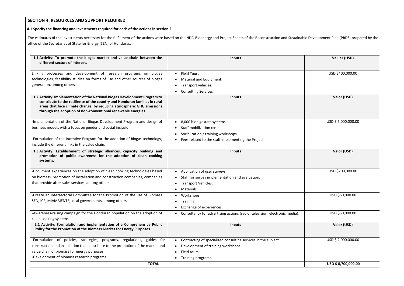# **SECTION 4: RESOURCES AND SUPPORT REQUIRED**

| The estimates of the investments necessary for the fulfillment of the actions were based on the NDC-Bioenergy and Project Sheets of the Reconstruction and Sustainable Development Plan (PRDS) prepared by the<br>office of the Secretariat of State for Energy (SEN) of Honduras:                |                                                                                                                                                                                               |                     |  |  |  |
|---------------------------------------------------------------------------------------------------------------------------------------------------------------------------------------------------------------------------------------------------------------------------------------------------|-----------------------------------------------------------------------------------------------------------------------------------------------------------------------------------------------|---------------------|--|--|--|
| 1.1 Activity: To promote the biogas market and value chain between the<br>different sectors of interest.                                                                                                                                                                                          | <b>Inputs</b>                                                                                                                                                                                 | Valuer (USD)        |  |  |  |
| Linking processes and development of research programs on biogas<br>technologies, feasibility studies on forms of use and other sources of biogas<br>generation, among others.                                                                                                                    | <b>Field Tours</b><br>$\bullet$<br>Material and Equipment.<br>Transport vehicles.<br>$\bullet$<br><b>Consulting Services</b>                                                                  | USD \$400,000.00    |  |  |  |
| 1.2 Activity: Implementation of the National Biogas Development Program to<br>contribute to the resilience of the country and Honduran families in rural<br>areas that face climate change, by reducing atmospheric GHG emissions<br>through the adoption of non-conventional renewable energies. | <b>Inputs</b>                                                                                                                                                                                 | Valor (USD)         |  |  |  |
| -Implementation of the National Biogas Development Program and design of<br>business models with a focus on gender and social inclusion.<br>-Formulation of the Incentive Program for the adoption of biogas technology,<br>include the different links in the value chain.                       | 8,000 biodigesters systems.<br>$\bullet$<br>Staff mobilization costs.<br>Socialization / training workshops.<br>$\bullet$<br>Fees related to the staff implementing the Project.<br>$\bullet$ | USD \$6,000,000.00  |  |  |  |
| 1.3 Activity: Establishment of strategic alliances, capacity building and<br>promotion of public awareness for the adoption of clean cooking<br>systems.                                                                                                                                          | <b>Inputs</b>                                                                                                                                                                                 | Valor (USD)         |  |  |  |
| -Document experiences on the adoption of clean cooking technologies based<br>on biomass, promotion of installation and construction companies, companies<br>that provide after-sales services, among others.                                                                                      | Application of user surveys.<br>Staff for survey implementation and evaluation.<br>$\bullet$<br><b>Transport Vehicles.</b><br>$\bullet$<br>Materials.                                         | USD \$200,000.00    |  |  |  |
| -Create an intersectoral Committee for the Promotion of the use of Biomass<br>SEN, ICF, MIAMBIENTE, local governments, among others                                                                                                                                                               | Workshops.<br>Training.<br>Exchange of experiences.                                                                                                                                           | USD \$50,000.00     |  |  |  |
| -Awareness-raising campaign for the Honduran population on the adoption of<br>clean cooking systems                                                                                                                                                                                               | Consultancy for advertising actions (radio, television, electronic media).<br>$\bullet$                                                                                                       | USD \$50,000.00     |  |  |  |
| 2.1 Activity: Formulation and implementation of a Comprehensive Public<br>Policy for the Promotion of the Biomass Market for Energy Purposes                                                                                                                                                      | <b>Inputs</b>                                                                                                                                                                                 | Valor (USD)         |  |  |  |
| -Formulation of policies, strategies, programs, regulations, guides for<br>construction and installation that contribute to the promotion of the market and<br>value chain of biomass for energy purposes.<br>-Development of biomass research programs.                                          | Contracting of specialized consulting services in the subject.<br>$\bullet$<br>Development of training workshops.<br>Field tours.<br>Training programs.                                       | USD \$ 2,000,000.00 |  |  |  |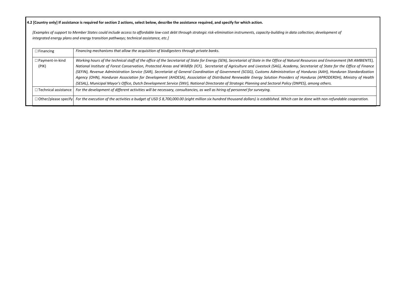**4.2 [Country only] If assistance is required for section 2 actions, select below, describe the assistance required, and specify for which action.**

*[Examples of support to Member States could include access to affordable low-cost debt through strategic risk-elimination instruments, capacity-building in data collection; development of integrated energy plans and energy transition pathways; technical assistance, etc.]*

> *Working hours of the technical staff of the office of the Secretariat of State for Energy (SEN), Secretariat of State in the Office of Natural Resources and Environment (MI AMBIENTE), National Institute of Forest Conservation, Protected Areas and Wildlife (ICF), Secretariat of Agriculture and Livestock (SAG), Academy, Secretariat of State for the Office of Finance (SEFIN), Revenue Administration Service (SAR), Secretariat of General Coordination of Government (SCGG), Customs Administration of Honduras (AAH), Honduran Standardization Agency (OHN), Honduran Association for Development (AHDESA), Association of Distributed Renewable Energy Solution Providers of Honduras (APRODERDH), Ministry of Health*

| $\Box$ Financing                | Financing mechanisms that allow the acquisition of biodigesters through private banks.                                                                                                                                                                                                                                                                                                                                                                                                                                                                                                                                                                                                                                                                                                                    |
|---------------------------------|-----------------------------------------------------------------------------------------------------------------------------------------------------------------------------------------------------------------------------------------------------------------------------------------------------------------------------------------------------------------------------------------------------------------------------------------------------------------------------------------------------------------------------------------------------------------------------------------------------------------------------------------------------------------------------------------------------------------------------------------------------------------------------------------------------------|
| $\Box$ Payment-in-kind<br>(PIK) | Working hours of the technical staff of the office of the Secretariat of State for Energy (SEN), Secretariat of State in the Office of Natural Resources and Env.<br>National Institute of Forest Conservation, Protected Areas and Wildlife (ICF), Secretariat of Agriculture and Livestock (SAG), Academy, Secretariat of State<br>(SEFIN), Revenue Administration Service (SAR), Secretariat of General Coordination of Government (SCGG), Customs Administration of Honduras (AAH), F<br>Agency (OHN), Honduran Association for Development (AHDESA), Association of Distributed Renewable Energy Solution Providers of Honduras (APRODI<br>(SESAL), Municipal Mayor's Office, Dutch Development Service (SNV), National Directorate of Strategic Planning and Sectoral Policy (DNPES), among others. |
| $\Box$ Technical assistance     | For the development of different activities will be necessary, consultancies, as well as hiring of personnel for surveying.                                                                                                                                                                                                                                                                                                                                                                                                                                                                                                                                                                                                                                                                               |
|                                 | $\Box$ Other/please specify For the execution of the activities a budget of USD \$ 8,700,000.00 (eight million six hundred thousand dollars) is established. Which can be done with non-re                                                                                                                                                                                                                                                                                                                                                                                                                                                                                                                                                                                                                |

☐Other/please specify *For the execution of the activities a budget of USD \$ 8,700,000.00 (eight million six hundred thousand dollars) is established. Which can be done with non-refundable cooperation.*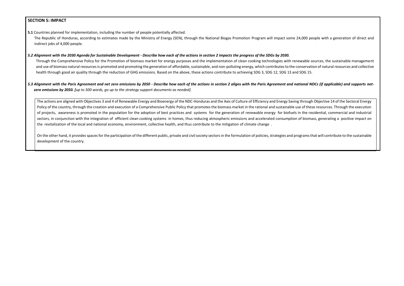# **SECTION 5: IMPACT**

**5.1** Countries planned for implementation, including the number of people potentially affected. The Republic of Honduras, according to estimates made by the Ministry of Energy (SEN), through the National Biogas Promotion Program will impact some 24,000 people with a generation of direct and indirect jobs of 4,000 people.

### *5.2 Alignment with the 2030 Agenda for Sustainable Development - Describe how each of the actions in section 2 impacts the progress of the SDGs by 2030.*

Through the Comprehensive Policy for the Promotion of biomass market for energy purposes and the implementation of clean cooking technologies with renewable sources, the sustainable management and use of biomass natural resources is promoted and promoting the generation of affordable, sustainable, and non-polluting energy, which contributes to the conservation of natural resources and collective health through good air quality through the reduction of GHG emissions. Based on the above, these actions contribute to achieving SDG 3, SDG 12, SDG 13 and SDG 15.

# *5.3 Alignment with the Paris Agreement and net zero emissions by 2050 - Describe how each of the actions in section 2 aligns with the Paris Agreement and national NDCs (if applicable) and supports netzero emissions by 2050. [up to 500 words, go up to the strategy support documents as needed].*

On the other hand, it provides spaces for the participation of the different public, private and civil society sectors in the formulation of policies, strategies and programs that will contribute to the sustainable development of the country.

The actions are aligned with Objectives 3 and 4 of Renewable Energy and Bioenergy of the NDC-Honduras and the Axis of Culture of Efficiency and Energy Saving through Objective 14 of the Sectoral Energy Policy of the country, through the creation and execution of a Comprehensive Public Policy that promotes the biomass market in the rational and sustainable use of these resources. Through the execution of projects, awareness is promoted in the population for the adoption of best practices and systems for the generation of renewable energy for biofuels in the residential, commercial and industrial sectors, in conjunction with the integration of efficient clean cooking systems in homes, thus reducing atmospheric emissions and accelerated consumption of biomass, generating a positive impact on the revitalization of the local and national economy, environment, collective health, and thus contribute to the mitigation of climate change .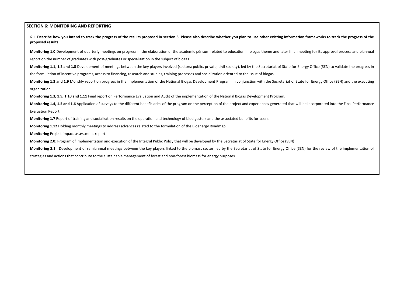# **SECTION 6: MONITORING AND REPORTING**

6.1. **Describe how you intend to track the progress of the results proposed in section 3. Please also describe whether you plan to use other existing information frameworks to track the progress of the proposed results**

**Monitoring 1.0** Development of quarterly meetings on progress in the elaboration of the academic pénsum related to education in biogas theme and later final meeting for its approval process and biannual report on the number of graduates with post-graduates or specialization in the subject of biogas.

Monitoring 1.1, 1.2 and 1.8 Development of meetings between the key players involved (sectors: public, private, civil society), led by the Secretariat of State for Energy Office (SEN) to validate the progress in the formulation of incentive programs, access to financing, research and studies, training processes and socialization oriented to the issue of biogas.

Monitoring 1.3 and 1.9 Monthly report on progress in the implementation of the National Biogas Development Program, in conjunction with the Secretariat of State for Energy Office (SEN) and the executing organization.

Monitoring 1.4, 1.5 and 1.6 Application of surveys to the different beneficiaries of the program on the perception of the project and experiences generated that will be incorporated into the Final Performance Evaluation Report.

Monitoring 2.1: Development of semiannual meetings between the key players linked to the biomass sector, led by the Secretariat of State for Energy Office (SEN) for the review of the implementation of strategies and actions that contribute to the sustainable management of forest and non-forest biomass for energy purposes.

**Monitoring 1.3, 1.9, 1.10 and 1.11** Final report on Performance Evaluation and Audit of the implementation of the National Biogas Development Program.

**Monitoring 1.7** Report of training and socialization results on the operation and technology of biodigesters and the associated benefits for users.

**Monitoring 1.12** Holding monthly meetings to address advances related to the formulation of the Bioenergy Roadmap.

**Monitoring** Project impact assessment report.

**Monitoring 2.0:** Program of implementation and execution of the Integral Public Policy that will be developed by the Secretariat of State for Energy Office (SEN)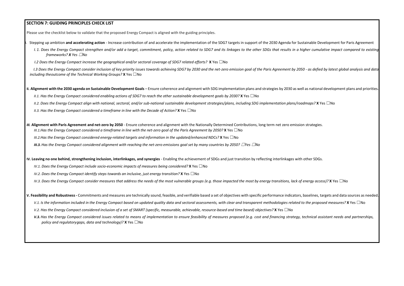# **SECTION 7: GUIDING PRINCIPLES CHECK LIST**

Please use the checklist below to validate that the proposed Energy Compact is aligned with the guiding principles.

- Stepping up ambition and accelerating action Increase contribution of and accelerate the implementation of the SDG7 targets in support of the 2030 Agenda for Sustainable Development for Paris Agreement
	- 1. 1. Does the Eneray Compact strenathen and/or add a taraet, commitment, policy, action related to SDG7 and its linkages to the other SDGs that results in a higher cumulative impact compared to existing *frameworks? X Yes* ☐*No*

I.3 Does the Energy Compact consider inclusion of key priority issues towards achieving SDG7 by 2030 and the net-zero emission goal of the Paris Agreement by 2050 - as defied by latest global analysis and data *including theoutcome of the Technical Working Groups?* **X** Yes ☐No

II. Alignment with the 2030 agenda on Sustainable Development Goals – Ensure coherence and alignment with SDG implementation plans and strategies by 2030 as well as national development plans and priorities.

II.1. Has the Energy Compact considered enabling actions of SDG7 to reach the other sustainable development goals by 2030? X Yes  $\Box$ No

II.2. Does the Energy Compact align with national, sectoral, and/or sub-national sustainable development strategies/plans, including SDG implementation plans/roadmaps? X Yes  $\Box$ No

*I.2 Does the Energy Compact increase the geographical and/or sectoral coverage of SDG7 related efforts?* **X** Yes ☐No

*II.3. Has the Energy Compact considered a timeframe in line with the Decade of Action?* **X** Yes ☐No

III. Alignment with Paris Agreement and net-zero by 2050 - Ensure coherence and alignment with the Nationally Determined Contributions, long term net zero emission strategies. III.1. Has the Energy Compact considered a timeframe in line with the net-zero goal of the Paris Agreement by 2050? X Yes  $\Box$ No

*III.2.Has the Energy Compact considered energy-related targets and information in the updated/enhanced NDCs?* **X** Yes ☐No

**III.3.** Has the Energy Compact considered alignment with reaching the net-zero emissions goal set by many countries by 2050?  $\Box$ Yes  $\Box$ No

IV. Leaving no one behind, strengthening inclusion, interlinkages, and synergies - Enabling the achievement of SDGs and just transition by reflecting interlinkages with other SDGs.

*IV.1. Does the Energy Compact include socio-economic impacts of measures being considered?* **X** Yes ☐No

*IV.2. Does the Energy Compact identify steps towards an inclusive, just energy transition?* **X** Yes ☐No

IV.3. Does the Energy Compact consider measures that address the needs of the most vulnerable groups (e.g. those impacted the most by energy transitions, lack of energy access)? X Yes  $\Box$  No

V. Feasibility and Robustness - Commitments and measures are technically sound, feasible, and verifiable based a set of objectives with specific performance indicators, baselines, targets and data sources as needed.

V.1. Is the information included in the Energy Compact based on updated quality data and sectoral assessments, with clear and transparent methodologies related to the proposed measures? X Yes  $\square$ No

V.2. Has the Energy Compact considered inclusion of a set of SMART (specific, measurable, achievable, resource-based and time based) objectives? X Yes  $\Box$ No

*V.3. Has the Energy Compact considered issues related to means of implementation to ensure feasibility of measures proposed (e.g. cost and financing strategy, technical assistant needs and partnerships, policy and regulatorygaps, data and technology)?* **X** Yes ☐No